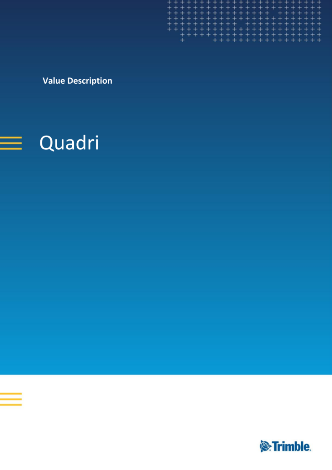**Value Description** 

# Quadri

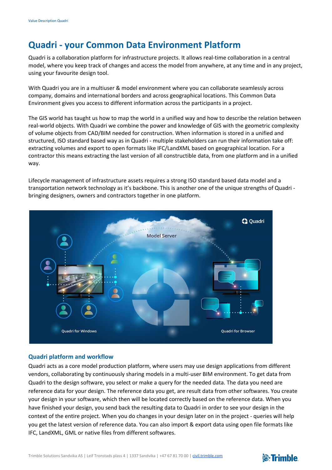## **Quadri - your Common Data Environment Platform**

Quadri is a collaboration platform for infrastructure projects. It allows real-time collaboration in a central model, where you keep track of changes and access the model from anywhere, at any time and in any project, using your favourite design tool.

With Quadri you are in a multiuser & model environment where you can collaborate seamlessly across company, domains and international borders and across geographical locations. This Common Data Environment gives you access to different information across the participants in a project.

The GIS world has taught us how to map the world in a unified way and how to describe the relation between real-world objects. With Quadri we combine the power and knowledge of GIS with the geometric complexity of volume objects from CAD/BIM needed for construction. When information is stored in a unified and structured, ISO standard based way as in Quadri - multiple stakeholders can run their information take off: extracting volumes and export to open formats like IFC/LandXML based on geographical location. For a contractor this means extracting the last version of all constructible data, from one platform and in a unified way.

Lifecycle management of infrastructure assets requires a strong ISO standard based data model and a transportation network technology as it's backbone. This is another one of the unique strengths of Quadri bringing designers, owners and contractors together in one platform.



### **Quadri platform and workflow**

Quadri acts as a core model production platform, where users may use design applications from different vendors, collaborating by continuously sharing models in a multi-user BIM environment. To get data from Quadri to the design software, you select or make a query for the needed data. The data you need are reference data for your design. The reference data you get, are result data from other softwares. You create your design in your software, which then will be located correctly based on the reference data. When you have finished your design, you send back the resulting data to Quadri in order to see your design in the context of the entire project. When you do changes in your design later on in the project - queries will help you get the latest version of reference data. You can also import & export data using open file formats like IFC, LandXML, GML or native files from different softwares.